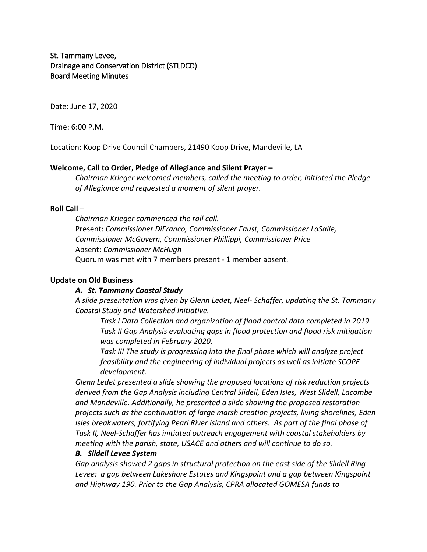St. Tammany Levee, Drainage and Conservation District (STLDCD) Board Meeting Minutes

Date: June 17, 2020

Time: 6:00 P.M.

Location: Koop Drive Council Chambers, 21490 Koop Drive, Mandeville, LA

## **Welcome, Call to Order, Pledge of Allegiance and Silent Prayer –**

*Chairman Krieger welcomed members, called the meeting to order, initiated the Pledge of Allegiance and requested a moment of silent prayer.*

## **Roll Call** –

*Chairman Krieger commenced the roll call.* Present: *Commissioner DiFranco, Commissioner Faust, Commissioner LaSalle, Commissioner McGovern, Commissioner Phillippi, Commissioner Price* Absent: *Commissioner McHugh* Quorum was met with 7 members present - 1 member absent.

## **Update on Old Business**

## *A. St. Tammany Coastal Study*

*A slide presentation was given by Glenn Ledet, Neel- Schaffer, updating the St. Tammany Coastal Study and Watershed Initiative.* 

*Task I Data Collection and organization of flood control data completed in 2019. Task II Gap Analysis evaluating gaps in flood protection and flood risk mitigation was completed in February 2020.*

*Task III The study is progressing into the final phase which will analyze project feasibility and the engineering of individual projects as well as initiate SCOPE development.*

*Glenn Ledet presented a slide showing the proposed locations of risk reduction projects derived from the Gap Analysis including Central Slidell, Eden Isles, West Slidell, Lacombe and Mandeville. Additionally, he presented a slide showing the proposed restoration projects such as the continuation of large marsh creation projects, living shorelines, Eden Isles breakwaters, fortifying Pearl River Island and others. As part of the final phase of Task II, Neel-Schaffer has initiated outreach engagement with coastal stakeholders by meeting with the parish, state, USACE and others and will continue to do so.*

### *B. Slidell Levee System*

*Gap analysis showed 2 gaps in structural protection on the east side of the Slidell Ring Levee: a gap between Lakeshore Estates and Kingspoint and a gap between Kingspoint and Highway 190. Prior to the Gap Analysis, CPRA allocated GOMESA funds to*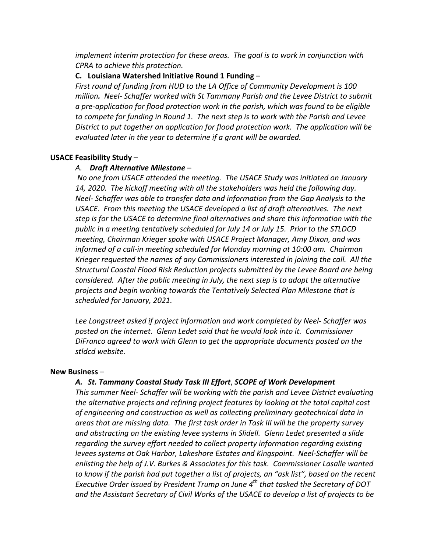*implement interim protection for these areas. The goal is to work in conjunction with CPRA to achieve this protection.*

## **C. Louisiana Watershed Initiative Round 1 Funding** –

*First round of funding from HUD to the LA Office of Community Development is 100 million. Neel- Schaffer worked with St Tammany Parish and the Levee District to submit a pre-application for flood protection work in the parish, which was found to be eligible to compete for funding in Round 1. The next step is to work with the Parish and Levee District to put together an application for flood protection work. The application will be evaluated later in the year to determine if a grant will be awarded.*

### **USACE Feasibility Study** –

#### *A. Draft Alternative Milestone* –

*No one from USACE attended the meeting. The USACE Study was initiated on January 14, 2020. The kickoff meeting with all the stakeholders was held the following day. Neel- Schaffer was able to transfer data and information from the Gap Analysis to the USACE. From this meeting the USACE developed a list of draft alternatives. The next step is for the USACE to determine final alternatives and share this information with the public in a meeting tentatively scheduled for July 14 or July 15. Prior to the STLDCD meeting, Chairman Krieger spoke with USACE Project Manager, Amy Dixon, and was informed of a call-in meeting scheduled for Monday morning at 10:00 am. Chairman Krieger requested the names of any Commissioners interested in joining the call. All the Structural Coastal Flood Risk Reduction projects submitted by the Levee Board are being considered. After the public meeting in July, the next step is to adopt the alternative projects and begin working towards the Tentatively Selected Plan Milestone that is scheduled for January, 2021.* 

*Lee Longstreet asked if project information and work completed by Neel- Schaffer was posted on the internet. Glenn Ledet said that he would look into it. Commissioner DiFranco agreed to work with Glenn to get the appropriate documents posted on the stldcd website.*

## **New Business** –

#### *A. St. Tammany Coastal Study Task III Effort*, *SCOPE of Work Development*

*This summer Neel- Schaffer will be working with the parish and Levee District evaluating the alternative projects and refining project features by looking at the total capital cost of engineering and construction as well as collecting preliminary geotechnical data in areas that are missing data. The first task order in Task III will be the property survey and abstracting on the existing levee systems in Slidell. Glenn Ledet presented a slide regarding the survey effort needed to collect property information regarding existing levees systems at Oak Harbor, Lakeshore Estates and Kingspoint. Neel-Schaffer will be enlisting the help of J.V. Burkes & Associates for this task. Commissioner Lasalle wanted to know if the parish had put together a list of projects, an "ask list", based on the recent Executive Order issued by President Trump on June 4th that tasked the Secretary of DOT and the Assistant Secretary of Civil Works of the USACE to develop a list of projects to be*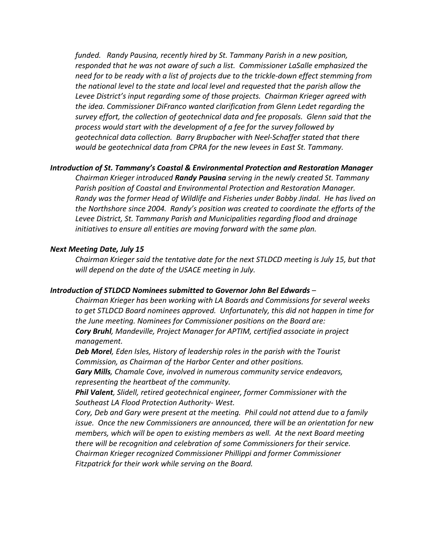*funded. Randy Pausina, recently hired by St. Tammany Parish in a new position, responded that he was not aware of such a list. Commissioner LaSalle emphasized the need for to be ready with a list of projects due to the trickle-down effect stemming from the national level to the state and local level and requested that the parish allow the Levee District's input regarding some of those projects. Chairman Krieger agreed with the idea. Commissioner DiFranco wanted clarification from Glenn Ledet regarding the survey effort, the collection of geotechnical data and fee proposals. Glenn said that the process would start with the development of a fee for the survey followed by geotechnical data collection. Barry Brupbacher with Neel-Schaffer stated that there would be geotechnical data from CPRA for the new levees in East St. Tammany.*

### *Introduction of St. Tammany's Coastal & Environmental Protection and Restoration Manager*

*Chairman Krieger introduced Randy Pausina serving in the newly created St. Tammany Parish position of Coastal and Environmental Protection and Restoration Manager. Randy was the former Head of Wildlife and Fisheries under Bobby Jindal. He has lived on the Northshore since 2004. Randy's position was created to coordinate the efforts of the Levee District, St. Tammany Parish and Municipalities regarding flood and drainage initiatives to ensure all entities are moving forward with the same plan.* 

### *Next Meeting Date, July 15*

*Chairman Krieger said the tentative date for the next STLDCD meeting is July 15, but that will depend on the date of the USACE meeting in July.*

#### *Introduction of STLDCD Nominees submitted to Governor John Bel Edwards* –

*Chairman Krieger has been working with LA Boards and Commissions for several weeks to get STLDCD Board nominees approved. Unfortunately, this did not happen in time for the June meeting. Nominees for Commissioner positions on the Board are: Cory Bruhl, Mandeville, Project Manager for APTIM, certified associate in project* 

*management.*

*Deb Morel, Eden Isles, History of leadership roles in the parish with the Tourist Commission, as Chairman of the Harbor Center and other positions.*

*Gary Mills, Chamale Cove, involved in numerous community service endeavors, representing the heartbeat of the community.*

*Phil Valent, Slidell, retired geotechnical engineer, former Commissioner with the Southeast LA Flood Protection Authority- West.*

*Cory, Deb and Gary were present at the meeting. Phil could not attend due to a family issue. Once the new Commissioners are announced, there will be an orientation for new members, which will be open to existing members as well. At the next Board meeting there will be recognition and celebration of some Commissioners for their service. Chairman Krieger recognized Commissioner Phillippi and former Commissioner Fitzpatrick for their work while serving on the Board.*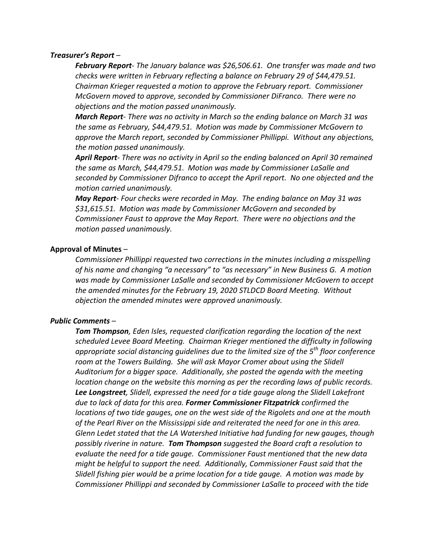### *Treasurer's Report* –

*February Report- The January balance was \$26,506.61. One transfer was made and two checks were written in February reflecting a balance on February 29 of \$44,479.51. Chairman Krieger requested a motion to approve the February report. Commissioner McGovern moved to approve, seconded by Commissioner DiFranco. There were no objections and the motion passed unanimously.*

*March Report- There was no activity in March so the ending balance on March 31 was the same as February, \$44,479.51. Motion was made by Commissioner McGovern to approve the March report, seconded by Commissioner Phillippi. Without any objections, the motion passed unanimously.*

*April Report- There was no activity in April so the ending balanced on April 30 remained the same as March, \$44,479.51. Motion was made by Commissioner LaSalle and seconded by Commissioner Difranco to accept the April report. No one objected and the motion carried unanimously.*

*May Report- Four checks were recorded in May. The ending balance on May 31 was \$31,615.51. Motion was made by Commissioner McGovern and seconded by Commissioner Faust to approve the May Report. There were no objections and the motion passed unanimously.*

## **Approval of Minutes** –

*Commissioner Phillippi requested two corrections in the minutes including a misspelling of his name and changing "a necessary" to "as necessary" in New Business G. A motion was made by Commissioner LaSalle and seconded by Commissioner McGovern to accept the amended minutes for the February 19, 2020 STLDCD Board Meeting. Without objection the amended minutes were approved unanimously.*

### *Public Comments* –

*Tom Thompson, Eden Isles, requested clarification regarding the location of the next scheduled Levee Board Meeting. Chairman Krieger mentioned the difficulty in following appropriate social distancing guidelines due to the limited size of the 5th floor conference room at the Towers Building. She will ask Mayor Cromer about using the Slidell Auditorium for a bigger space. Additionally, she posted the agenda with the meeting location change on the website this morning as per the recording laws of public records. Lee Longstreet, Slidell, expressed the need for a tide gauge along the Slidell Lakefront due to lack of data for this area. Former Commissioner Fitzpatrick confirmed the locations of two tide gauges, one on the west side of the Rigolets and one at the mouth of the Pearl River on the Mississippi side and reiterated the need for one in this area. Glenn Ledet stated that the LA Watershed Initiative had funding for new gauges, though possibly riverine in nature. Tom Thompson suggested the Board craft a resolution to evaluate the need for a tide gauge. Commissioner Faust mentioned that the new data might be helpful to support the need. Additionally, Commissioner Faust said that the Slidell fishing pier would be a prime location for a tide gauge. A motion was made by Commissioner Phillippi and seconded by Commissioner LaSalle to proceed with the tide*